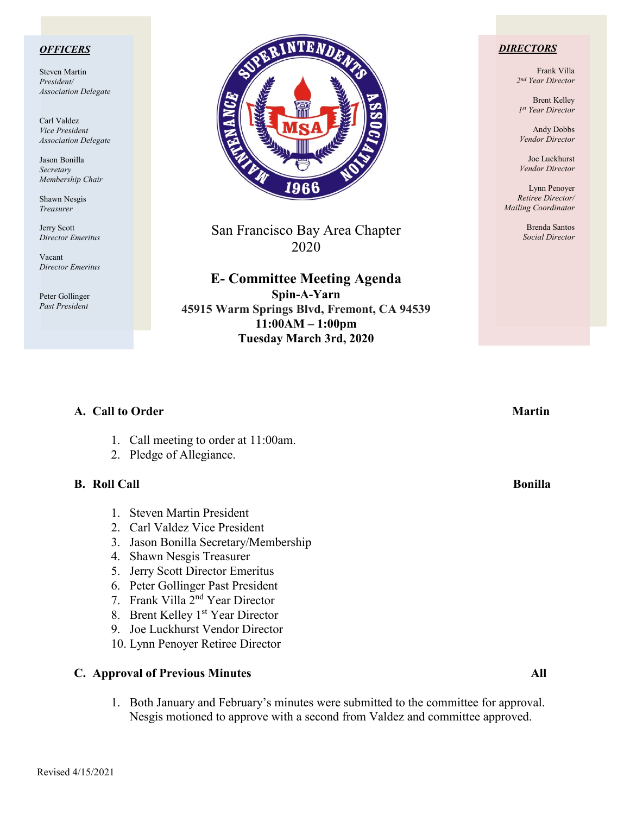### *OFFICERS*

Steven Martin *President/ Association Delegate*

Carl Valdez *Vice President Association Delegate*

Jason Bonilla *Secretary Membership Chair*

Shawn Nesgis *Treasurer*

Jerry Scott *Director Emeritus*

Vacant *Director Emeritus*

Peter Gollinger *Past President*



San Francisco Bay Area Chapter 2020

**E- Committee Meeting Agenda Spin-A-Yarn 45915 Warm Springs Blvd, Fremont, CA 94539 11:00AM – 1:00pm Tuesday March 3rd, 2020**

### *DIRECTORS*

Frank Villa *2nd Year Director*

Brent Kelley *1st Year Director*

Andy Dobbs *Vendor Director*

Joe Luckhurst *Vendor Director*

Lynn Penoyer *Retiree Director/ Mailing Coordinator*

> Brenda Santos *Social Director*

| A. Call to Order                                                       | <b>Martin</b>  |
|------------------------------------------------------------------------|----------------|
| Call meeting to order at 11:00am.<br>1.<br>Pledge of Allegiance.<br>2. |                |
| <b>B.</b> Roll Call                                                    | <b>Bonilla</b> |
| <b>Steven Martin President</b><br>$\mathbf{1}$                         |                |
| 2. Carl Valdez Vice President                                          |                |
| Jason Bonilla Secretary/Membership<br>3.                               |                |
| Shawn Nesgis Treasurer<br>4.                                           |                |
| Jerry Scott Director Emeritus<br>5.                                    |                |
| 6. Peter Gollinger Past President                                      |                |
| 7. Frank Villa 2 <sup>nd</sup> Year Director                           |                |
| Brent Kelley 1 <sup>st</sup> Year Director<br>8.                       |                |
| Joe Luckhurst Vendor Director<br>9.                                    |                |
| 10. Lynn Penoyer Retiree Director                                      |                |
| <b>C. Approval of Previous Minutes</b>                                 | All            |

1. Both January and February's minutes were submitted to the committee for approval. Nesgis motioned to approve with a second from Valdez and committee approved.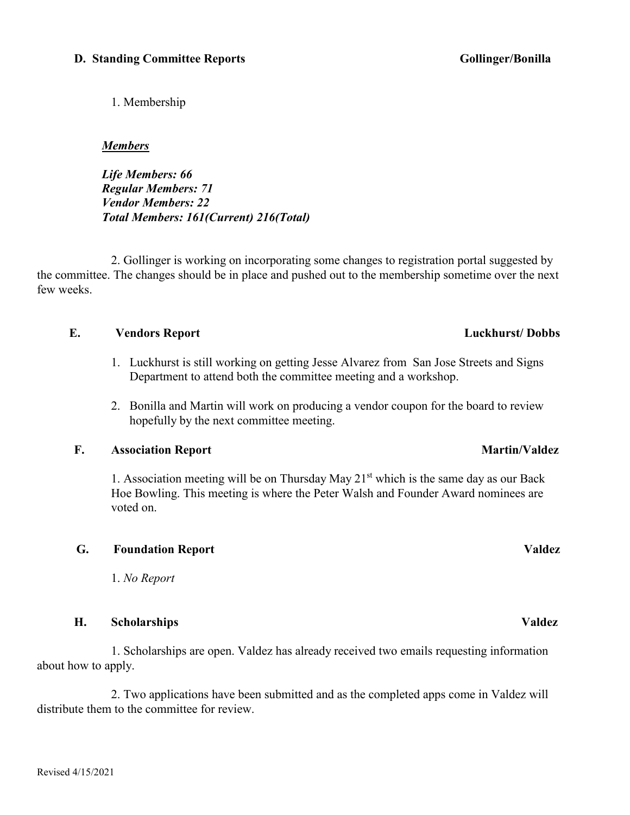### **H. Scholarships Valdez**

 1. Scholarships are open. Valdez has already received two emails requesting information about how to apply.

 2. Two applications have been submitted and as the completed apps come in Valdez will distribute them to the committee for review.

1. Membership

### *Members*

*Life Members: 66 Regular Members: 71 Vendor Members: 22 Total Members: 161(Current) 216(Total)*

2. Gollinger is working on incorporating some changes to registration portal suggested by the committee. The changes should be in place and pushed out to the membership sometime over the next few weeks.

### **E. Vendors Report Luckhurst/ Dobbs**

- 1. Luckhurst is still working on getting Jesse Alvarez from San Jose Streets and Signs Department to attend both the committee meeting and a workshop.
- 2. Bonilla and Martin will work on producing a vendor coupon for the board to review hopefully by the next committee meeting.

## **F. Association Report** Martin/Valdez

1. Association meeting will be on Thursday May  $21<sup>st</sup>$  which is the same day as our Back Hoe Bowling. This meeting is where the Peter Walsh and Founder Award nominees are voted on.

## **G. Foundation Report Valdez**

1. *No Report*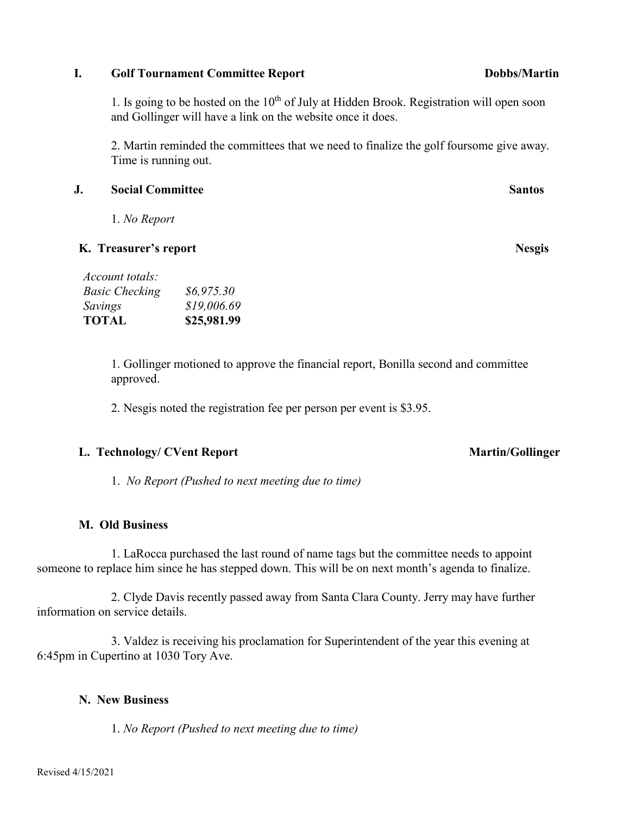### Revised 4/15/2021

1. Is going to be hosted on the  $10<sup>th</sup>$  of July at Hidden Brook. Registration will open soon and Gollinger will have a link on the website once it does.

2. Martin reminded the committees that we need to finalize the golf foursome give away. Time is running out.

# **J. Social Committee Santos**

1. *No Report*

# **K. Treasurer's report Nesgis**

*Basic Checking \$6,975.30 Savings \$19,006.69* **TOTAL \$25,981.99**

*Account totals:*

1. Gollinger motioned to approve the financial report, Bonilla second and committee approved.

2. Nesgis noted the registration fee per person per event is \$3.95.

# L. Technology/ CVent Report **Martin/Gollinger** Martin/Gollinger

1. *No Report (Pushed to next meeting due to time)*

# **M. Old Business**

1. LaRocca purchased the last round of name tags but the committee needs to appoint someone to replace him since he has stepped down. This will be on next month's agenda to finalize.

 2. Clyde Davis recently passed away from Santa Clara County. Jerry may have further information on service details.

 3. Valdez is receiving his proclamation for Superintendent of the year this evening at 6:45pm in Cupertino at 1030 Tory Ave.

# **N. New Business**

1. *No Report (Pushed to next meeting due to time)*